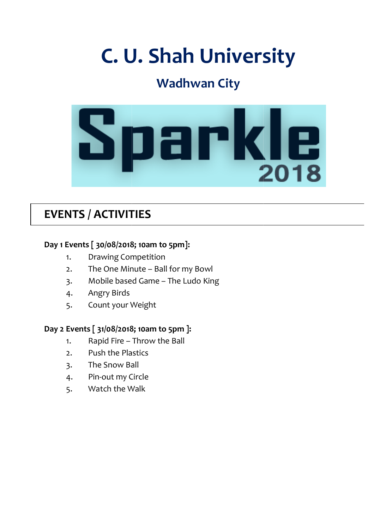# C. U. Shah University University

## Wadhwan City



## EVENTS / ACTIVITIES

#### Day 1 Events [ 30/08/2018; 10am to 5pm]:

- 1. Drawing Competition
- 2. The One Minute Ball for my Bowl
- 3. Mobile based Game The Ludo King
- 4. Angry Birds
- 5. Count your Weight

#### Day 2 Events [ 31/08/2018; 10am to 5pm ]: 31/08/2018;

- 1. Rapid Fire Throw the Ball
- 2. Push the Plastics
- 3. The Snow Ball
- 2. Push the Plastics<br>3. The Snow Ball<br>4. Pin-out my Circle
- 5. Watch the Walk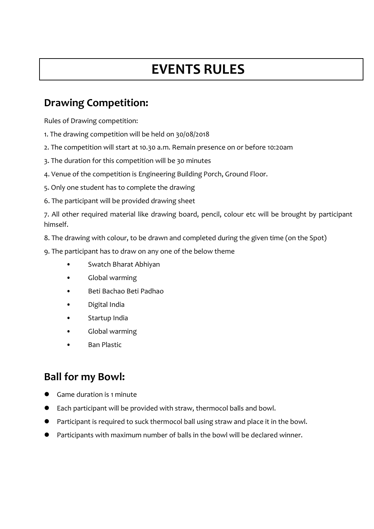## EVENTS RULES

#### Drawing Competition:

Rules of Drawing competition:

- 1. The drawing competition will be held on 30/08/2018
- 2. The competition will start at 10.30 a.m. Remain presence on or before 10:20am
- 3. The duration for this competition will be 30 minutes
- 4. Venue of the competition is Engineering Building Porch, Ground Floor.
- 5. Only one student has to complete the drawing
- 6. The participant will be provided drawing sheet

7. All other required material like drawing board, pencil, colour etc will be brought by participant himself.

- 8. The drawing with colour, to be drawn and completed during the given time (on the Spot)
- 9. The participant has to draw on any one of the below theme
	- Swatch Bharat Abhiyan
	- Global warming
	- Beti Bachao Beti Padhao
	- Digital India
	- Startup India
	- Global warming
	- **Ban Plastic**

#### Ball for my Bowl:

- Game duration is 1 minute
- Each participant will be provided with straw, thermocol balls and bowl.
- Participant is required to suck thermocol ball using straw and place it in the bowl.
- Participants with maximum number of balls in the bowl will be declared winner.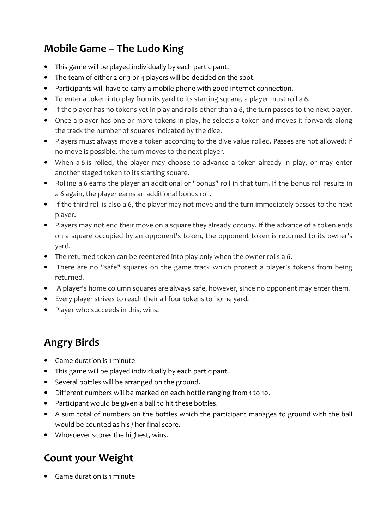## Mobile Game – The Ludo King

- This game will be played individually by each participant.
- The team of either 2 or 3 or 4 players will be decided on the spot.
- Participants will have to carry a mobile phone with good internet connection.
- To enter a token into play from its yard to its starting square, a player must roll a 6.
- If the player has no tokens yet in play and rolls other than a 6, the turn passes to the next player.
- Once a player has one or more tokens in play, he selects a token and moves it forwards along the track the number of squares indicated by the dice.
- Players must always move a token according to the dive value rolled. Passes are not allowed; if no move is possible, the turn moves to the next player.
- When a 6 is rolled, the player may choose to advance a token already in play, or may enter another staged token to its starting square.
- Rolling a 6 earns the player an additional or "bonus" roll in that turn. If the bonus roll results in a 6 again, the player earns an additional bonus roll.
- If the third roll is also a 6, the player may not move and the turn immediately passes to the next player.
- Players may not end their move on a square they already occupy. If the advance of a token ends on a square occupied by an opponent's token, the opponent token is returned to its owner's yard.
- The returned token can be reentered into play only when the owner rolls a 6.
- There are no "safe" squares on the game track which protect a player's tokens from being returned.
- A player's home column squares are always safe, however, since no opponent may enter them.
- Every player strives to reach their all four tokens to home yard.
- Player who succeeds in this, wins.

#### Angry Birds

- Game duration is 1 minute
- This game will be played individually by each participant.
- Several bottles will be arranged on the ground.
- Different numbers will be marked on each bottle ranging from 1 to 10.
- Participant would be given a ball to hit these bottles.
- A sum total of numbers on the bottles which the participant manages to ground with the ball would be counted as his / her final score.
- Whosoever scores the highest, wins.

### Count your Weight

• Game duration is 1 minute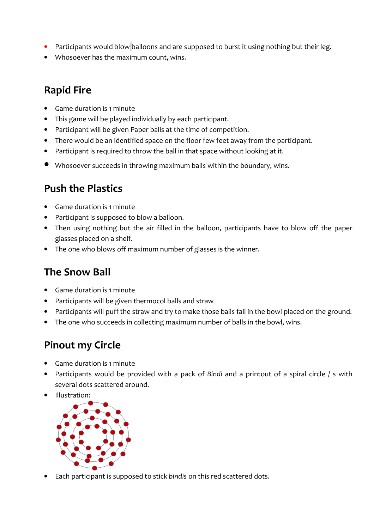- Participants would blow balloons and are supposed to burst it using nothing but their leg.
- Whosoever has the maximum count, wins.

#### Rapid Fire

- Game duration is 1 minute
- This game will be played individually by each participant.
- Participant will be given Paper balls at the time of competition.
- There would be an identified space on the floor few feet away from the participant.
- Participant is required to throw the ball in that space without looking at it.
- Whosoever succeeds in throwing maximum balls within the boundary, wins.

#### Push the Plastics

- Game duration is 1 minute
- Participant is supposed to blow a balloon.
- Then using nothing but the air filled in the balloon, participants have to blow off the paper glasses placed on a shelf.
- The one who blows off maximum number of glasses is the winner.

#### The Snow Ball

- Game duration is 1 minute
- Participants will be given thermocol balls and straw
- Participants will puff the straw and try to make those balls fall in the bowl placed on the ground.
- The one who succeeds in collecting maximum number of balls in the bowl, wins.

#### Pinout my Circle

- Game duration is 1 minute
- Participants would be provided with a pack of Bindi and a printout of a spiral circle / s with several dots scattered around.
- Illustration:



Each participant is supposed to stick bindis on this red scattered dots.